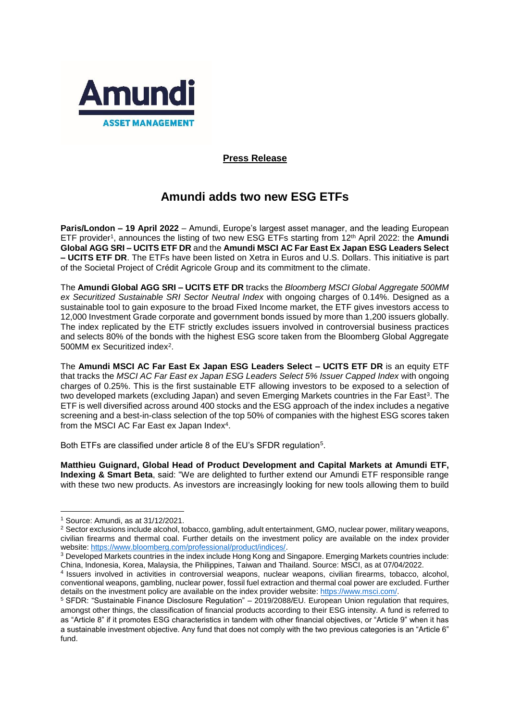

# **Press Release**

# **Amundi adds two new ESG ETFs**

**Paris/London – 19 April 2022** – Amundi, Europe's largest asset manager, and the leading European ETF provider<sup>1</sup> , announces the listing of two new ESG ETFs starting from 12th April 2022: the **Amundi Global AGG SRI – UCITS ETF DR** and the **Amundi MSCI AC Far East Ex Japan ESG Leaders Select – UCITS ETF DR**. The ETFs have been listed on Xetra in Euros and U.S. Dollars. This initiative is part of the Societal Project of Crédit Agricole Group and its commitment to the climate.

The **Amundi Global AGG SRI – UCITS ETF DR** tracks the *Bloomberg MSCI Global Aggregate 500MM ex Securitized Sustainable SRI Sector Neutral Index* with ongoing charges of 0.14%. Designed as a sustainable tool to gain exposure to the broad Fixed Income market, the ETF gives investors access to 12,000 Investment Grade corporate and government bonds issued by more than 1,200 issuers globally. The index replicated by the ETF strictly excludes issuers involved in controversial business practices and selects 80% of the bonds with the highest ESG score taken from the Bloomberg Global Aggregate 500MM ex Securitized index<sup>2</sup>.

The **Amundi MSCI AC Far East Ex Japan ESG Leaders Select – UCITS ETF DR** is an equity ETF that tracks the *MSCI AC Far East ex Japan ESG Leaders Select 5% Issuer Capped Index* with ongoing charges of 0.25%. This is the first sustainable ETF allowing investors to be exposed to a selection of two developed markets (excluding Japan) and seven Emerging Markets countries in the Far East<sup>3</sup>. The ETF is well diversified across around 400 stocks and the ESG approach of the index includes a negative screening and a best-in-class selection of the top 50% of companies with the highest ESG scores taken from the MSCI AC Far East ex Japan Index<sup>4</sup>.

Both ETFs are classified under article 8 of the EU's SFDR regulation<sup>5</sup>.

**Matthieu Guignard, Global Head of Product Development and Capital Markets at Amundi ETF, Indexing & Smart Beta**, said: "We are delighted to further extend our Amundi ETF responsible range with these two new products. As investors are increasingly looking for new tools allowing them to build

<sup>1</sup> <sup>1</sup> Source: Amundi, as at 31/12/2021.

<sup>2</sup> Sector exclusions include alcohol, tobacco, gambling, adult entertainment, GMO, nuclear power, military weapons, civilian firearms and thermal coal. Further details on the investment policy are available on the index provider website: [https://www.bloomberg.com/professional/product/indices/.](https://www.bloomberg.com/professional/product/indices/)

<sup>3</sup> Developed Markets countries in the index include Hong Kong and Singapore. Emerging Markets countries include: China, Indonesia, Korea, Malaysia, the Philippines, Taiwan and Thailand. Source: MSCI, as at 07/04/2022.

<sup>4</sup> Issuers involved in activities in controversial weapons, nuclear weapons, civilian firearms, tobacco, alcohol, conventional weapons, gambling, nuclear power, fossil fuel extraction and thermal coal power are excluded. Further details on the investment policy are available on the index provider website: [https://www.msci.com/.](https://www.msci.com/)

<sup>5</sup> SFDR: "Sustainable Finance Disclosure Regulation" – 2019/2088/EU. European Union regulation that requires, amongst other things, the classification of financial products according to their ESG intensity. A fund is referred to as "Article 8" if it promotes ESG characteristics in tandem with other financial objectives, or "Article 9" when it has a sustainable investment objective. Any fund that does not comply with the two previous categories is an "Article 6" fund.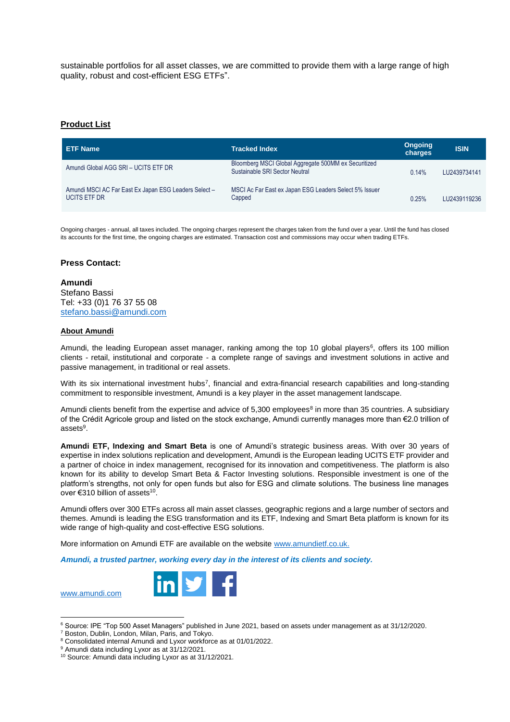sustainable portfolios for all asset classes, we are committed to provide them with a large range of high quality, robust and cost-efficient ESG ETFs".

# **Product List**

| <b>ETF Name</b>                                                              | <b>Tracked Index</b>                                                                   | <b>Ongoing</b><br>charges | <b>ISIN</b>  |
|------------------------------------------------------------------------------|----------------------------------------------------------------------------------------|---------------------------|--------------|
| Amundi Global AGG SRI - UCITS ETF DR                                         | Bloomberg MSCI Global Aggregate 500MM ex Securitized<br>Sustainable SRI Sector Neutral | 0.14%                     | LU2439734141 |
| Amundi MSCI AC Far East Ex Japan ESG Leaders Select -<br><b>UCITS ETF DR</b> | MSCI Ac Far East ex Japan ESG Leaders Select 5% Issuer<br>Capped                       | 0.25%                     | LU2439119236 |

Ongoing charges - annual, all taxes included. The ongoing charges represent the charges taken from the fund over a year. Until the fund has closed its accounts for the first time, the ongoing charges are estimated. Transaction cost and commissions may occur when trading ETFs.

## **Press Contact:**

**Amundi** Stefano Bassi Tel: +33 (0)1 76 37 55 08 [stefano.bassi@amundi.com](mailto:stefano.bassi@amundi.com)

#### **About Amundi**

Amundi, the leading European asset manager, ranking among the top 10 global players<sup>6</sup>, offers its 100 million clients - retail, institutional and corporate - a complete range of savings and investment solutions in active and passive management, in traditional or real assets.

With its six international investment hubs<sup>7</sup>, financial and extra-financial research capabilities and long-standing commitment to responsible investment, Amundi is a key player in the asset management landscape.

Amundi clients benefit from the expertise and advice of 5,300 employees<sup>8</sup> in more than 35 countries. A subsidiary of the Crédit Agricole group and listed on the stock exchange, Amundi currently manages more than €2.0 trillion of assets<sup>9</sup>.

**Amundi ETF, Indexing and Smart Beta** is one of Amundi's strategic business areas. With over 30 years of expertise in index solutions replication and development, Amundi is the European leading UCITS ETF provider and a partner of choice in index management, recognised for its innovation and competitiveness. The platform is also known for its ability to develop Smart Beta & Factor Investing solutions. Responsible investment is one of the platform's strengths, not only for open funds but also for ESG and climate solutions. The business line manages over €310 billion of assets<sup>10</sup>.

Amundi offers over 300 ETFs across all main asset classes, geographic regions and a large number of sectors and themes. Amundi is leading the ESG transformation and its ETF, Indexing and Smart Beta platform is known for its wide range of high-quality and cost-effective ESG solutions.

More information on Amundi ETF are available on the website [www.amundietf.co.uk.](http://www.amundietf.co.uk/)

*Amundi, a trusted partner, working every day in the interest of its clients and society.*



<sup>6</sup> Source: IPE "Top 500 Asset Managers" published in June 2021, based on assets under management as at 31/12/2020.

[www.amundi.com](http://www.amundi.com/)

**.** 

<sup>7</sup> Boston, Dublin, London, Milan, Paris, and Tokyo.

<sup>8</sup> Consolidated internal Amundi and Lyxor workforce as at 01/01/2022.

<sup>&</sup>lt;sup>9</sup> Amundi data including Lyxor as at 31/12/2021.

<sup>10</sup> Source: Amundi data including Lyxor as at 31/12/2021.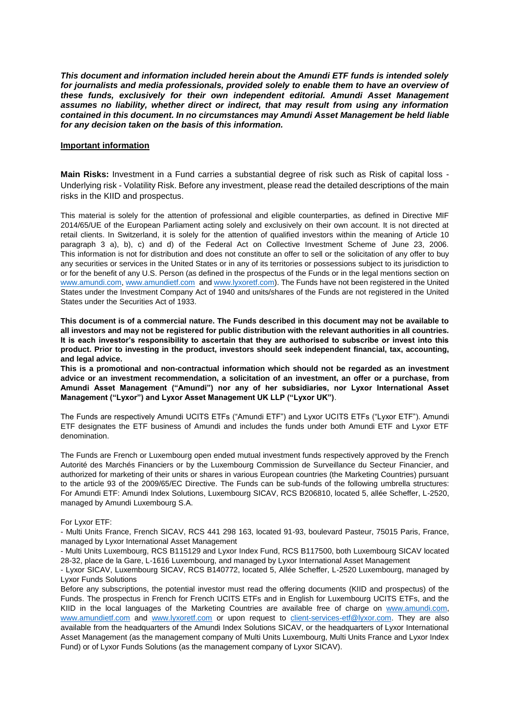*This document and information included herein about the Amundi ETF funds is intended solely*  for journalists and media professionals, provided solely to enable them to have an overview of *these funds, exclusively for their own independent editorial. Amundi Asset Management assumes no liability, whether direct or indirect, that may result from using any information contained in this document. In no circumstances may Amundi Asset Management be held liable for any decision taken on the basis of this information.*

## **Important information**

**Main Risks:** Investment in a Fund carries a substantial degree of risk such as Risk of capital loss - Underlying risk - Volatility Risk. Before any investment, please read the detailed descriptions of the main risks in the KIID and prospectus.

This material is solely for the attention of professional and eligible counterparties, as defined in Directive MIF 2014/65/UE of the European Parliament acting solely and exclusively on their own account. It is not directed at retail clients. In Switzerland, it is solely for the attention of qualified investors within the meaning of Article 10 paragraph 3 a), b), c) and d) of the Federal Act on Collective Investment Scheme of June 23, 2006. This information is not for distribution and does not constitute an offer to sell or the solicitation of any offer to buy any securities or services in the United States or in any of its territories or possessions subject to its jurisdiction to or for the benefit of any U.S. Person (as defined in the prospectus of the Funds or in the legal mentions section on [www.amundi.com,](http://www.amundi.com/) [www.amundietf.com](http://www.amundietf.com/) and [www.lyxoretf.com\)](http://www.lyxoretf.com/). The Funds have not been registered in the United States under the Investment Company Act of 1940 and units/shares of the Funds are not registered in the United States under the Securities Act of 1933.

**This document is of a commercial nature. The Funds described in this document may not be available to all investors and may not be registered for public distribution with the relevant authorities in all countries. It is each investor's responsibility to ascertain that they are authorised to subscribe or invest into this product. Prior to investing in the product, investors should seek independent financial, tax, accounting, and legal advice.**

**This is a promotional and non-contractual information which should not be regarded as an investment advice or an investment recommendation, a solicitation of an investment, an offer or a purchase, from Amundi Asset Management ("Amundi") nor any of her subsidiaries, nor Lyxor International Asset Management ("Lyxor") and Lyxor Asset Management UK LLP ("Lyxor UK")**.

The Funds are respectively Amundi UCITS ETFs ("Amundi ETF") and Lyxor UCITS ETFs ("Lyxor ETF"). Amundi ETF designates the ETF business of Amundi and includes the funds under both Amundi ETF and Lyxor ETF denomination.

The Funds are French or Luxembourg open ended mutual investment funds respectively approved by the French Autorité des Marchés Financiers or by the Luxembourg Commission de Surveillance du Secteur Financier, and authorized for marketing of their units or shares in various European countries (the Marketing Countries) pursuant to the article 93 of the 2009/65/EC Directive. The Funds can be sub-funds of the following umbrella structures: For Amundi ETF: Amundi Index Solutions, Luxembourg SICAV, RCS B206810, located 5, allée Scheffer, L-2520, managed by Amundi Luxembourg S.A.

#### For Lyxor ETF:

- Multi Units France, French SICAV, RCS 441 298 163, located 91-93, boulevard Pasteur, 75015 Paris, France, managed by Lyxor International Asset Management

- Multi Units Luxembourg, RCS B115129 and Lyxor Index Fund, RCS B117500, both Luxembourg SICAV located 28-32, place de la Gare, L-1616 Luxembourg, and managed by Lyxor International Asset Management

- Lyxor SICAV, Luxembourg SICAV, RCS B140772, located 5, Allée Scheffer, L-2520 Luxembourg, managed by Lyxor Funds Solutions

Before any subscriptions, the potential investor must read the offering documents (KIID and prospectus) of the Funds. The prospectus in French for French UCITS ETFs and in English for Luxembourg UCITS ETFs, and the KIID in the local languages of the Marketing Countries are available free of charge on [www.amundi.com,](http://www.amundi.com/) [www.amundietf.com](http://www.amundietf.com/) and [www.lyxoretf.com](http://www.lyxoretf.com/) or upon request to [client-services-etf@lyxor.com.](mailto:client-services-etf@lyxor.com) They are also available from the headquarters of the Amundi Index Solutions SICAV, or the headquarters of Lyxor International Asset Management (as the management company of Multi Units Luxembourg, Multi Units France and Lyxor Index Fund) or of Lyxor Funds Solutions (as the management company of Lyxor SICAV).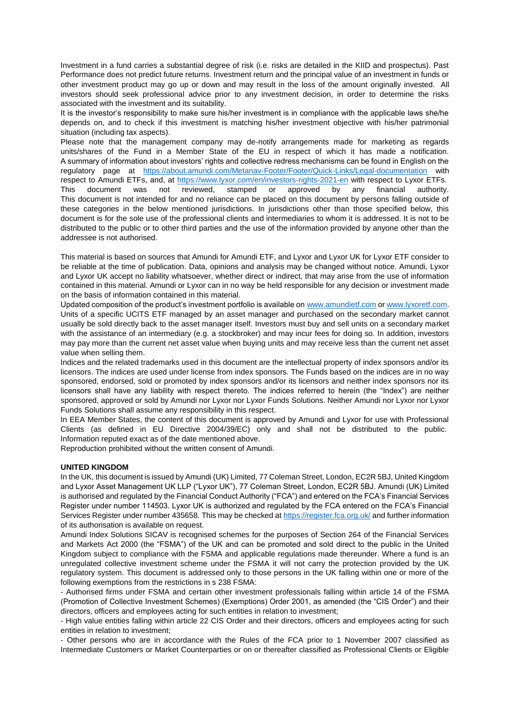Investment in a fund carries a substantial degree of risk (i.e. risks are detailed in the KIID and prospectus). Past Performance does not predict future returns. Investment return and the principal value of an investment in funds or other investment product may go up or down and may result in the loss of the amount originally invested. All investors should seek professional advice prior to any investment decision, in order to determine the risks associated with the investment and its suitability.

It is the investor's responsibility to make sure his/her investment is in compliance with the applicable laws she/he depends on, and to check if this investment is matching his/her investment objective with his/her patrimonial situation (including tax aspects).

Please note that the management company may de-notify arrangements made for marketing as regards units/shares of the Fund in a Member State of the EU in respect of which it has made a notification. A summary of information about investors' rights and collective redress mechanisms can be found in English on the regulatory page at <https://about.amundi.com/Metanav-Footer/Footer/Quick-Links/Legal-documentation> with respect to Amundi ETFs, and, at<https://www.lyxor.com/en/investors-rights-2021-en> with respect to Lyxor ETFs. This document was not reviewed, stamped or approved by any financial authority. This document is not intended for and no reliance can be placed on this document by persons falling outside of these categories in the below mentioned jurisdictions. In jurisdictions other than those specified below, this document is for the sole use of the professional clients and intermediaries to whom it is addressed. It is not to be distributed to the public or to other third parties and the use of the information provided by anyone other than the addressee is not authorised.

This material is based on sources that Amundi for Amundi ETF, and Lyxor and Lyxor UK for Lyxor ETF consider to be reliable at the time of publication. Data, opinions and analysis may be changed without notice. Amundi, Lyxor and Lyxor UK accept no liability whatsoever, whether direct or indirect, that may arise from the use of information contained in this material. Amundi or Lyxor can in no way be held responsible for any decision or investment made on the basis of information contained in this material.

Updated composition of the product's investment portfolio is available on [www.amundietf.com](http://www.amundietf.com/) o[r www.lyxoretf.com.](http://www.lyxoretf.com/) Units of a specific UCITS ETF managed by an asset manager and purchased on the secondary market cannot usually be sold directly back to the asset manager itself. Investors must buy and sell units on a secondary market with the assistance of an intermediary (e.g. a stockbroker) and may incur fees for doing so. In addition, investors may pay more than the current net asset value when buying units and may receive less than the current net asset value when selling them.

Indices and the related trademarks used in this document are the intellectual property of index sponsors and/or its licensors. The indices are used under license from index sponsors. The Funds based on the indices are in no way sponsored, endorsed, sold or promoted by index sponsors and/or its licensors and neither index sponsors nor its licensors shall have any liability with respect thereto. The indices referred to herein (the "Index") are neither sponsored, approved or sold by Amundi nor Lyxor nor Lyxor Funds Solutions. Neither Amundi nor Lyxor nor Lyxor Funds Solutions shall assume any responsibility in this respect.

In EEA Member States, the content of this document is approved by Amundi and Lyxor for use with Professional Clients (as defined in EU Directive 2004/39/EC) only and shall not be distributed to the public. Information reputed exact as of the date mentioned above.

Reproduction prohibited without the written consent of Amundi.

#### **UNITED KINGDOM**

In the UK, this document is issued by Amundi (UK) Limited, 77 Coleman Street, London, EC2R 5BJ, United Kingdom and Lyxor Asset Management UK LLP ("Lyxor UK"), 77 Coleman Street, London, EC2R 5BJ. Amundi (UK) Limited is authorised and regulated by the Financial Conduct Authority ("FCA") and entered on the FCA's Financial Services Register under number 114503. Lyxor UK is authorized and regulated by the FCA entered on the FCA's Financial Services Register under number 435658. This may be checked at<https://register.fca.org.uk/> and further information of its authorisation is available on request.

Amundi Index Solutions SICAV is recognised schemes for the purposes of Section 264 of the Financial Services and Markets Act 2000 (the "FSMA") of the UK and can be promoted and sold direct to the public in the United Kingdom subject to compliance with the FSMA and applicable regulations made thereunder. Where a fund is an unregulated collective investment scheme under the FSMA it will not carry the protection provided by the UK regulatory system. This document is addressed only to those persons in the UK falling within one or more of the following exemptions from the restrictions in s 238 FSMA:

- Authorised firms under FSMA and certain other investment professionals falling within article 14 of the FSMA (Promotion of Collective Investment Schemes) (Exemptions) Order 2001, as amended (the "CIS Order") and their directors, officers and employees acting for such entities in relation to investment;

- High value entities falling within article 22 CIS Order and their directors, officers and employees acting for such entities in relation to investment;

- Other persons who are in accordance with the Rules of the FCA prior to 1 November 2007 classified as Intermediate Customers or Market Counterparties or on or thereafter classified as Professional Clients or Eligible